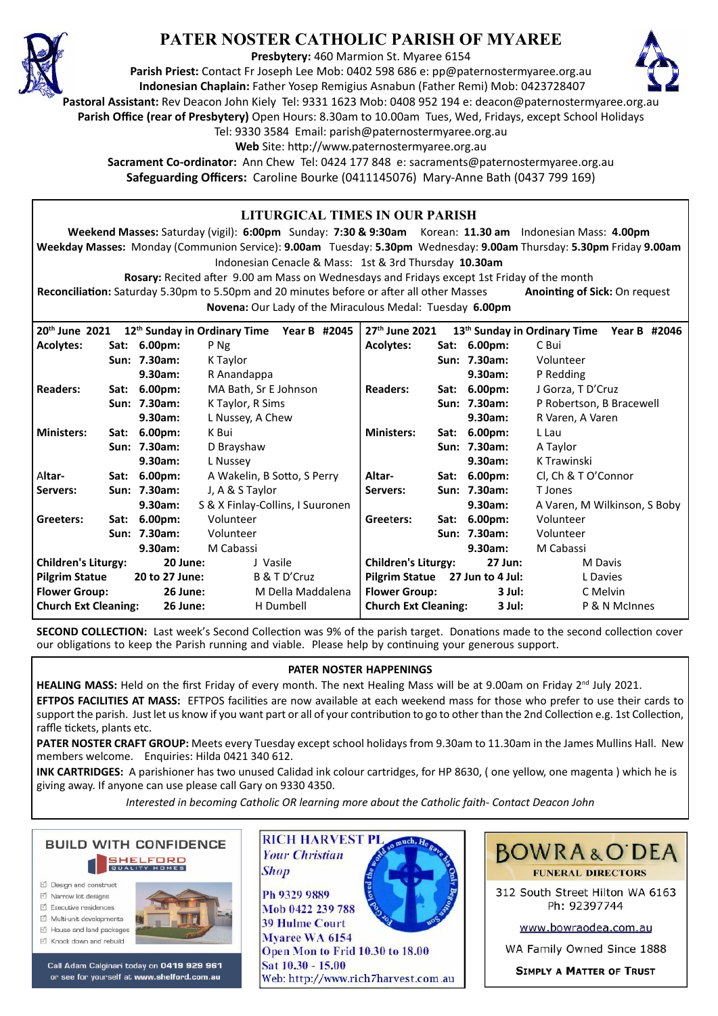

# **PATER NOSTER CATHOLIC PARISH OF MYAREE**

**Presbytery:** 460 Marmion St. Myaree 6154

**Parish Priest:** Contact Fr Joseph Lee Mob: 0402 598 686 e: pp@paternostermyaree.org.au **Indonesian Chaplain:** Father Yosep Remigius Asnabun (Father Remi) Mob: 0423728407



**Pastoral Assistant:** Rev Deacon John Kiely Tel: 9331 1623 Mob: 0408 952 194 e: deacon@paternostermyaree.org.au

**Parish Office (rear of Presbytery)** Open Hours: 8.30am to 10.00am Tues, Wed, Fridays, except School Holidays

Tel: 9330 3584 Email: parish@paternostermyaree.org.au

Web Site: http://www.paternostermyaree.org.au

**Sacrament Co-ordinator:** Ann Chew Tel: 0424 177 848 e: sacraments@paternostermyaree.org.au **Safeguarding Officers:** Caroline Bourke (0411145076) Mary-Anne Bath (0437 799 169)

|                                                                                                                                   |                           |                      |                       | LITURGICAL TIMES IN OUR PARISH                        |                      |                                       |               |                              |                              |  |
|-----------------------------------------------------------------------------------------------------------------------------------|---------------------------|----------------------|-----------------------|-------------------------------------------------------|----------------------|---------------------------------------|---------------|------------------------------|------------------------------|--|
| Weekend Masses: Saturday (vigil): 6:00pm Sunday: 7:30 & 9:30am Korean: 11.30 am Indonesian Mass: 4.00pm                           |                           |                      |                       |                                                       |                      |                                       |               |                              |                              |  |
| Weekday Masses: Monday (Communion Service): 9.00am Tuesday: 5.30pm Wednesday: 9.00am Thursday: 5.30pm Friday 9.00am               |                           |                      |                       |                                                       |                      |                                       |               |                              |                              |  |
| Indonesian Cenacle & Mass: 1st & 3rd Thursday 10.30am                                                                             |                           |                      |                       |                                                       |                      |                                       |               |                              |                              |  |
| Rosary: Recited after 9.00 am Mass on Wednesdays and Fridays except 1st Friday of the month                                       |                           |                      |                       |                                                       |                      |                                       |               |                              |                              |  |
| Reconciliation: Saturday 5.30pm to 5.50pm and 20 minutes before or after all other Masses<br><b>Anointing of Sick: On request</b> |                           |                      |                       |                                                       |                      |                                       |               |                              |                              |  |
| Novena: Our Lady of the Miraculous Medal: Tuesday 6.00pm                                                                          |                           |                      |                       |                                                       |                      |                                       |               |                              |                              |  |
|                                                                                                                                   |                           |                      |                       |                                                       |                      |                                       |               |                              |                              |  |
| 20th June 2021                                                                                                                    |                           |                      |                       | 12 <sup>th</sup> Sunday in Ordinary Time Year B #2045 | 27th June 2021       |                                       |               | 13th Sunday in Ordinary Time | Year B #2046                 |  |
| <b>Acolytes:</b>                                                                                                                  |                           | Sat: 6.00pm:         | P Ng                  |                                                       | <b>Acolytes:</b>     |                                       | Sat: 6.00pm:  | C Bui                        |                              |  |
|                                                                                                                                   |                           | Sun: 7.30am:         | K Taylor              |                                                       |                      |                                       | Sun: 7.30am:  | Volunteer                    |                              |  |
|                                                                                                                                   |                           | 9.30am:              | R Anandappa           |                                                       |                      |                                       | 9.30am:       | P Redding                    |                              |  |
| <b>Readers:</b>                                                                                                                   |                           | Sat: 6.00pm:         | MA Bath, Sr E Johnson |                                                       | <b>Readers:</b>      |                                       | Sat: 6.00pm:  | J Gorza, T D'Cruz            |                              |  |
|                                                                                                                                   |                           | Sun: 7.30am:         | K Taylor, R Sims      |                                                       |                      |                                       | Sun: 7.30am:  | P Robertson, B Bracewell     |                              |  |
|                                                                                                                                   |                           | 9.30am:              | L Nussey, A Chew      |                                                       |                      |                                       | 9.30am:       | R Varen, A Varen             |                              |  |
| <b>Ministers:</b>                                                                                                                 |                           | Sat: 6.00pm:         | K Bui                 |                                                       | <b>Ministers:</b>    |                                       | Sat: 6.00pm:  | L Lau                        |                              |  |
|                                                                                                                                   |                           | Sun: 7.30am:         | D Brayshaw            |                                                       |                      |                                       | Sun: 7.30am:  | A Taylor                     |                              |  |
|                                                                                                                                   |                           | 9.30am:              | L Nussey              |                                                       |                      |                                       | 9.30am:       | K Trawinski                  |                              |  |
| Altar-                                                                                                                            |                           | Sat: 6.00pm:         |                       | A Wakelin, B Sotto, S Perry                           |                      |                                       | Sat: 6.00pm:  | Cl, Ch & T O'Connor          |                              |  |
| Servers:                                                                                                                          |                           | Sun: 7.30am:         | J, A & S Taylor       |                                                       | Servers:             |                                       | Sun: 7.30am:  | T Jones                      |                              |  |
|                                                                                                                                   |                           | 9.30am:              |                       | S & X Finlay-Collins, I Suuronen                      |                      |                                       | 9.30am:       |                              | A Varen, M Wilkinson, S Boby |  |
| Greeters:                                                                                                                         | Sat: 6.00pm:<br>Volunteer |                      |                       | Greeters:                                             |                      | Sat: 6.00pm:                          | Volunteer     |                              |                              |  |
|                                                                                                                                   |                           | Sun: 7.30am:         | Volunteer             |                                                       |                      |                                       | Sun: 7.30am:  | Volunteer                    |                              |  |
|                                                                                                                                   |                           | M Cabassi<br>9.30am: |                       | 9.30am:                                               |                      | M Cabassi                             |               |                              |                              |  |
| <b>Children's Liturgy:</b>                                                                                                        |                           | 20 June:             | J Vasile              |                                                       |                      | <b>Children's Liturgy:</b><br>27 Jun: |               | M Davis                      |                              |  |
| <b>Pilgrim Statue</b>                                                                                                             |                           | 20 to 27 June:       |                       | <b>Pilgrim Statue</b><br>B & T D'Cruz                 |                      | 27 Jun to 4 Jul:                      |               | L Davies                     |                              |  |
| <b>Flower Group:</b>                                                                                                              |                           | <b>26 June:</b>      |                       | M Della Maddalena                                     | <b>Flower Group:</b> |                                       | 3 Jul:        | C Melvin                     |                              |  |
| <b>Church Ext Cleaning:</b><br>26 June:                                                                                           |                           |                      |                       | <b>Church Ext Cleaning:</b><br>H Dumbell              |                      | 3 Jul:                                | P & N McInnes |                              |                              |  |

**SECOND COLLECTION:** Last week's Second Collection was 9% of the parish target. Donations made to the second collection cover our obligations to keep the Parish running and viable. Please help by continuing your generous support.

### **PATER NOSTER HAPPENINGS**

HEALING MASS: Held on the first Friday of every month. The next Healing Mass will be at 9.00am on Friday 2<sup>nd</sup> July 2021.

**EFTPOS FACILITIES AT MASS:** EFTPOS facili�es are now available at each weekend mass for those who prefer to use their cards to support the parish. Just let us know if you want part or all of your contribution to go to other than the 2nd Collection e.g. 1st Collection, raffle tickets, plants etc.

**PATER NOSTER CRAFT GROUP:** Meets every Tuesday except school holidays from 9.30am to 11.30am in the James Mullins Hall. New members welcome. Enquiries: Hilda 0421 340 612.

**INK CARTRIDGES:** A parishioner has two unused Calidad ink colour cartridges, for HP 8630, ( one yellow, one magenta ) which he is giving away. If anyone can use please call Gary on 9330 4350.

*Interested in becoming Catholic OR learning more about the Catholic faith- Contact Deacon John*



- ☑ Design and construct
- $\triangledown$  Narrow lot designe  $\triangledown$  Executive residences
- $\overrightarrow{2}$  Multi-unit developments
- M House and land packages
- ☑ Knock down and rebuild



Call Adam Calginari today on 0419 929 961 or see for yourself at www.shelford.com.au



Ph 9329 9889 Mob 0422 239 788 **39 Hulme Court** Myaree WA 6154 Open Mon to Frid 10.30 to 18.00 Sat 10.30 - 15.00 Web: http://www.rich7harvest.com.au

**Shop** 



312 South Street Hilton WA 6163 Ph: 92397744

www.bowraodea.com.au

WA Family Owned Since 1888

**SIMPLY A MATTER OF TRUST**